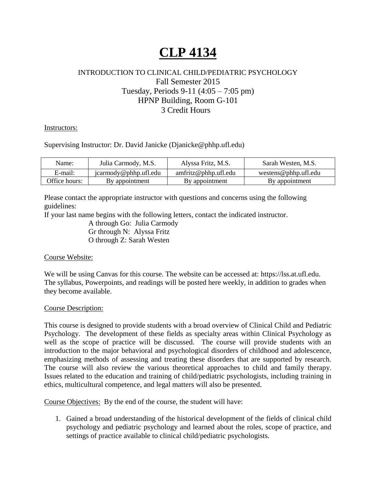# **CLP 4134**

## INTRODUCTION TO CLINICAL CHILD/PEDIATRIC PSYCHOLOGY Fall Semester 2015 Tuesday, Periods 9-11 (4:05 – 7:05 pm) HPNP Building, Room G-101 3 Credit Hours

Instructors:

Supervising Instructor: Dr. David Janicke (Djanicke@phhp.ufl.edu)

| Name:         | Julia Carmody, M.S.   | Alyssa Fritz, M.S.   | Sarah Westen, M.S.   |
|---------------|-----------------------|----------------------|----------------------|
| E-mail:       | icarmody@phhp.ufl.edu | amfritz@phhp.ufl.edu | westens@phhp.ufl.edu |
| Office hours: | By appointment        | By appointment       | By appointment       |

Please contact the appropriate instructor with questions and concerns using the following guidelines:

If your last name begins with the following letters, contact the indicated instructor.

A through Go: Julia Carmody Gr through N: Alyssa Fritz O through Z: Sarah Westen

## Course Website:

We will be using Canvas for this course. The website can be accessed at: https://lss.at.ufl.edu. The syllabus, Powerpoints, and readings will be posted here weekly, in addition to grades when they become available.

#### Course Description:

This course is designed to provide students with a broad overview of Clinical Child and Pediatric Psychology. The development of these fields as specialty areas within Clinical Psychology as well as the scope of practice will be discussed. The course will provide students with an introduction to the major behavioral and psychological disorders of childhood and adolescence, emphasizing methods of assessing and treating these disorders that are supported by research. The course will also review the various theoretical approaches to child and family therapy. Issues related to the education and training of child/pediatric psychologists, including training in ethics, multicultural competence, and legal matters will also be presented.

Course Objectives: By the end of the course, the student will have:

1. Gained a broad understanding of the historical development of the fields of clinical child psychology and pediatric psychology and learned about the roles, scope of practice, and settings of practice available to clinical child/pediatric psychologists.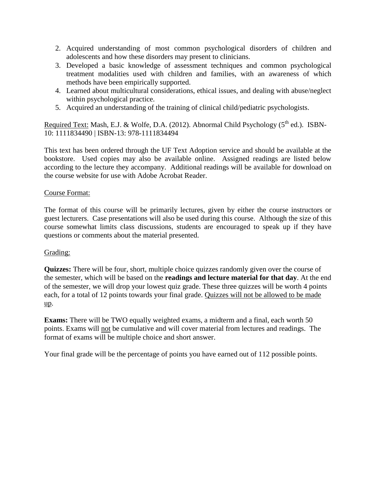- 2. Acquired understanding of most common psychological disorders of children and adolescents and how these disorders may present to clinicians.
- 3. Developed a basic knowledge of assessment techniques and common psychological treatment modalities used with children and families, with an awareness of which methods have been empirically supported.
- 4. Learned about multicultural considerations, ethical issues, and dealing with abuse/neglect within psychological practice.
- 5. Acquired an understanding of the training of clinical child/pediatric psychologists.

Required Text: Mash, E.J. & Wolfe, D.A. (2012). Abnormal Child Psychology (5<sup>th</sup> ed.). ISBN-10: 1111834490 | ISBN-13: 978-1111834494

This text has been ordered through the UF Text Adoption service and should be available at the bookstore. Used copies may also be available online. Assigned readings are listed below according to the lecture they accompany. Additional readings will be available for download on the course website for use with Adobe Acrobat Reader.

## Course Format:

The format of this course will be primarily lectures, given by either the course instructors or guest lecturers. Case presentations will also be used during this course. Although the size of this course somewhat limits class discussions, students are encouraged to speak up if they have questions or comments about the material presented.

#### Grading:

**Quizzes:** There will be four, short, multiple choice quizzes randomly given over the course of the semester, which will be based on the **readings and lecture material for that day**. At the end of the semester, we will drop your lowest quiz grade. These three quizzes will be worth 4 points each, for a total of 12 points towards your final grade. Quizzes will not be allowed to be made up.

**Exams:** There will be TWO equally weighted exams, a midterm and a final, each worth 50 points. Exams will not be cumulative and will cover material from lectures and readings. The format of exams will be multiple choice and short answer.

Your final grade will be the percentage of points you have earned out of 112 possible points.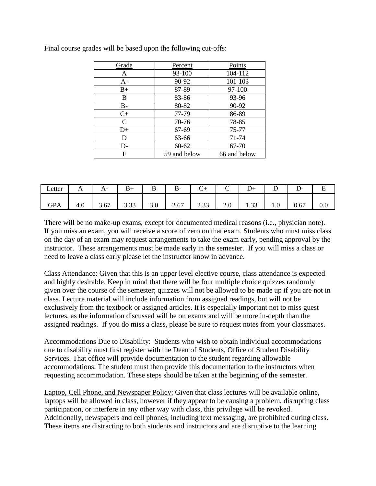| Grade        | Percent      | Points       |
|--------------|--------------|--------------|
| Α            | 93-100       | 104-112      |
| $A-$         | 90-92        | 101-103      |
| $B+$         | 87-89        | 97-100       |
| B            | 83-86        | 93-96        |
| $B -$        | 80-82        | 90-92        |
| $C+$         | 77-79        | 86-89        |
| $\mathsf{C}$ | 70-76        | 78-85        |
| $D+$         | 67-69        | 75-77        |
| D            | 63-66        | 71-74        |
| D-           | $60 - 62$    | 67-70        |
| F            | 59 and below | 66 and below |

Final course grades will be based upon the following cut-offs:

| Letter                       | $\ddot{\phantom{1}}$ | $\mathbf{r}$                                     | $\overline{\phantom{0}}$ | ∍<br>÷                | D-                           |                  | ◡             | $^{+}$         |     | - -  |     |
|------------------------------|----------------------|--------------------------------------------------|--------------------------|-----------------------|------------------------------|------------------|---------------|----------------|-----|------|-----|
| $\mathbf{G} \mathbf{P}$<br>Ά | т.∪                  | $\overline{\phantom{0}}$<br>$\sim$<br>$J\cdot U$ | $\sim$<br><u>J.JJ</u>    | $\cup\, \cdot\, \cup$ | 67<br>$\sim$ $\sim$ $\prime$ | $\cap$<br>ر ر. ب | $\sim$ $\sim$ | $\sim$<br>1.JJ | 1.0 | 0.67 | v.v |

There will be no make-up exams, except for documented medical reasons (i.e., physician note). If you miss an exam, you will receive a score of zero on that exam. Students who must miss class on the day of an exam may request arrangements to take the exam early, pending approval by the instructor. These arrangements must be made early in the semester. If you will miss a class or need to leave a class early please let the instructor know in advance.

Class Attendance: Given that this is an upper level elective course, class attendance is expected and highly desirable. Keep in mind that there will be four multiple choice quizzes randomly given over the course of the semester; quizzes will not be allowed to be made up if you are not in class. Lecture material will include information from assigned readings, but will not be exclusively from the textbook or assigned articles. It is especially important not to miss guest lectures, as the information discussed will be on exams and will be more in-depth than the assigned readings. If you do miss a class, please be sure to request notes from your classmates.

Accommodations Due to Disability: Students who wish to obtain individual accommodations due to disability must first register with the Dean of Students, Office of Student Disability Services. That office will provide documentation to the student regarding allowable accommodations. The student must then provide this documentation to the instructors when requesting accommodation. These steps should be taken at the beginning of the semester.

Laptop, Cell Phone, and Newspaper Policy: Given that class lectures will be available online, laptops will be allowed in class, however if they appear to be causing a problem, disrupting class participation, or interfere in any other way with class, this privilege will be revoked. Additionally, newspapers and cell phones, including text messaging, are prohibited during class. These items are distracting to both students and instructors and are disruptive to the learning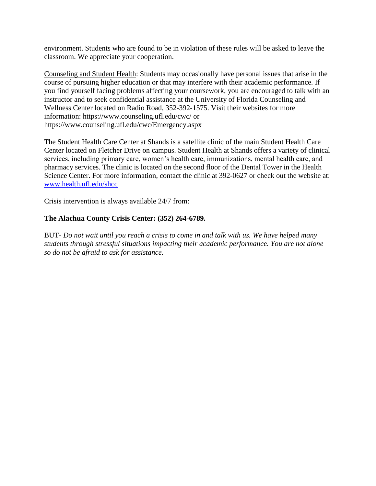environment. Students who are found to be in violation of these rules will be asked to leave the classroom. We appreciate your cooperation.

Counseling and Student Health: Students may occasionally have personal issues that arise in the course of pursuing higher education or that may interfere with their academic performance. If you find yourself facing problems affecting your coursework, you are encouraged to talk with an instructor and to seek confidential assistance at the University of Florida Counseling and Wellness Center located on Radio Road, 352-392-1575. Visit their websites for more information: https://www.counseling.ufl.edu/cwc/ or https://www.counseling.ufl.edu/cwc/Emergency.aspx

The Student Health Care Center at Shands is a satellite clinic of the main Student Health Care Center located on Fletcher Drive on campus. Student Health at Shands offers a variety of clinical services, including primary care, women's health care, immunizations, mental health care, and pharmacy services. The clinic is located on the second floor of the Dental Tower in the Health Science Center. For more information, contact the clinic at 392-0627 or check out the website at: [www.health.ufl.edu/shcc](http://www.health.ufl.edu/shcc)

Crisis intervention is always available 24/7 from:

### **The Alachua County Crisis Center: (352) 264-6789.**

BUT- *Do not wait until you reach a crisis to come in and talk with us. We have helped many students through stressful situations impacting their academic performance. You are not alone so do not be afraid to ask for assistance.*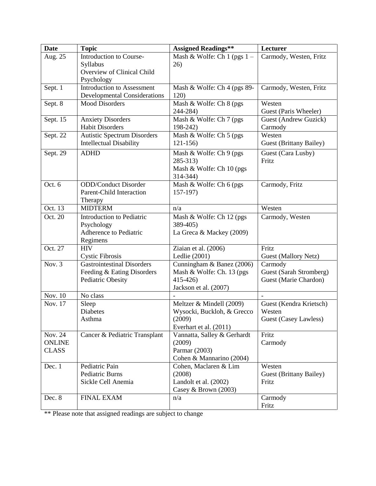| <b>Date</b>   | <b>Topic</b>                                                | <b>Assigned Readings**</b>    | Lecturer                       |
|---------------|-------------------------------------------------------------|-------------------------------|--------------------------------|
| Aug. 25       | Introduction to Course-                                     | Mash & Wolfe: Ch 1 (pgs $1 -$ | Carmody, Westen, Fritz         |
|               | Syllabus                                                    | 26)                           |                                |
|               | Overview of Clinical Child                                  |                               |                                |
|               | Psychology                                                  |                               |                                |
| Sept. 1       | <b>Introduction to Assessment</b>                           | Mash & Wolfe: Ch 4 (pgs 89-   | Carmody, Westen, Fritz         |
|               | <b>Developmental Considerations</b>                         | <b>120</b> )                  |                                |
| Sept. 8       | <b>Mood Disorders</b>                                       | Mash & Wolfe: Ch 8 (pgs       | Westen                         |
|               |                                                             | 244-284)                      | Guest (Paris Wheeler)          |
| Sept. 15      | <b>Anxiety Disorders</b>                                    | Mash & Wolfe: Ch 7 (pgs)      | Guest (Andrew Guzick)          |
|               | <b>Habit Disorders</b>                                      | 198-242)                      | Carmody                        |
| Sept. 22      | <b>Autistic Spectrum Disorders</b>                          | Mash & Wolfe: Ch 5 (pgs)      | Westen                         |
|               | <b>Intellectual Disability</b>                              | $121 - 156$                   | <b>Guest (Brittany Bailey)</b> |
| Sept. 29      | <b>ADHD</b>                                                 | Mash & Wolfe: Ch 9 (pgs)      | Guest (Cara Lusby)             |
|               |                                                             | 285-313)                      | Fritz                          |
|               |                                                             | Mash & Wolfe: Ch 10 (pgs)     |                                |
|               |                                                             | 314-344)                      |                                |
| Oct. 6        | <b>ODD/Conduct Disorder</b>                                 | Mash & Wolfe: Ch 6 (pgs       | Carmody, Fritz                 |
|               | Parent-Child Interaction                                    | $157-197$                     |                                |
|               | Therapy                                                     |                               |                                |
| Oct. 13       | <b>MIDTERM</b>                                              | n/a                           | Westen                         |
| Oct. 20       | Introduction to Pediatric                                   | Mash & Wolfe: Ch 12 (pgs)     | Carmody, Westen                |
|               | Psychology                                                  | 389-405)                      |                                |
|               | Adherence to Pediatric                                      | La Greca & Mackey (2009)      |                                |
| Oct. 27       | Regimens<br><b>HIV</b>                                      | Ziaian et al. (2006)          | Fritz                          |
|               |                                                             | Ledlie (2001)                 | Guest (Mallory Netz)           |
| Nov. 3        | <b>Cystic Fibrosis</b><br><b>Gastrointestinal Disorders</b> | Cunningham & Banez (2006)     | Carmody                        |
|               | Feeding & Eating Disorders                                  | Mash & Wolfe: Ch. 13 (pgs)    | Guest (Sarah Stromberg)        |
|               | Pediatric Obesity                                           | $415 - 426$                   | Guest (Marie Chardon)          |
|               |                                                             | Jackson et al. (2007)         |                                |
| Nov. 10       | No class                                                    |                               | $\sim$                         |
| Nov. 17       | Sleep                                                       | Meltzer & Mindell (2009)      | Guest (Kendra Krietsch)        |
|               | Diabetes                                                    | Wysocki, Buckloh, & Grecco    | Westen                         |
|               | Asthma                                                      | (2009)                        | <b>Guest (Casey Lawless)</b>   |
|               |                                                             | Everhart et al. (2011)        |                                |
| Nov. 24       | Cancer & Pediatric Transplant                               | Vannatta, Salley & Gerhardt   | Fritz                          |
| <b>ONLINE</b> |                                                             | (2009)                        | Carmody                        |
| <b>CLASS</b>  |                                                             | Parmar (2003)                 |                                |
|               |                                                             | Cohen & Mannarino (2004)      |                                |
| Dec. 1        | Pediatric Pain                                              | Cohen, Maclaren & Lim         | Westen                         |
|               | Pediatric Burns                                             | (2008)                        | Guest (Brittany Bailey)        |
|               | Sickle Cell Anemia                                          | Landolt et al. (2002)         | Fritz                          |
|               |                                                             | Casey & Brown $(2003)$        |                                |
| Dec. 8        | <b>FINAL EXAM</b>                                           | n/a                           | Carmody                        |
|               |                                                             |                               | Fritz                          |

\*\* Please note that assigned readings are subject to change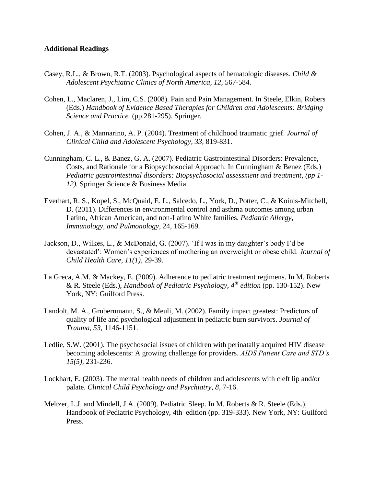#### **Additional Readings**

- Casey, R.L., & Brown, R.T. (2003). Psychological aspects of hematologic diseases. *Child & Adolescent Psychiatric Clinics of North America, 12,* 567-584.
- Cohen, L., Maclaren, J., Lim, C.S. (2008). Pain and Pain Management. In Steele, Elkin, Robers (Eds.) *Handbook of Evidence Based Therapies for Children and Adolescents: Bridging Science and Practice.* (pp.281-295). Springer.
- Cohen, J. A., & Mannarino, A. P. (2004). Treatment of childhood traumatic grief. *Journal of Clinical Child and Adolescent Psychology, 33,* 819-831.
- Cunningham, C. L., & Banez, G. A. (2007). Pediatric Gastrointestinal Disorders: Prevalence, Costs, and Rationale for a Biopsychosocial Approach. In Cunningham & Benez (Eds.) *Pediatric gastrointestinal disorders: Biopsychosocial assessment and treatment, (pp 1- 12).* Springer Science & Business Media.
- Everhart, R. S., Kopel, S., McQuaid, E. L., Salcedo, L., York, D., Potter, C., & Koinis-Mitchell, D. (2011). Differences in environmental control and asthma outcomes among urban Latino, African American, and non-Latino White families. *Pediatric Allergy, Immunology, and Pulmonology,* 24, 165-169.
- Jackson, D., Wilkes, L., & McDonald, G. (2007). 'If I was in my daughter's body I'd be devastated': Women's experiences of mothering an overweight or obese child. *Journal of Child Health Care, 11(1),* 29-39.
- La Greca, A.M. & Mackey, E. (2009). Adherence to pediatric treatment regimens. In M. Roberts & R. Steele (Eds.), *Handbook of Pediatric Psychology, 4 th edition* (pp. 130-152). New York, NY: Guilford Press.
- Landolt, M. A., Grubernmann, S., & Meuli, M. (2002). Family impact greatest: Predictors of quality of life and psychological adjustment in pediatric burn survivors. *Journal of Trauma, 53,* 1146-1151.
- Ledlie, S.W. (2001). The psychosocial issues of children with perinatally acquired HIV disease becoming adolescents: A growing challenge for providers. *AIDS Patient Care and STD's, 15(5),* 231-236.
- Lockhart, E. (2003). The mental health needs of children and adolescents with cleft lip and/or palate. *Clinical Child Psychology and Psychiatry, 8,* 7-16.
- Meltzer, L.J. and Mindell, J.A. (2009). Pediatric Sleep. In M. Roberts & R. Steele (Eds.), Handbook of Pediatric Psychology, 4th edition (pp. 319-333). New York, NY: Guilford Press.